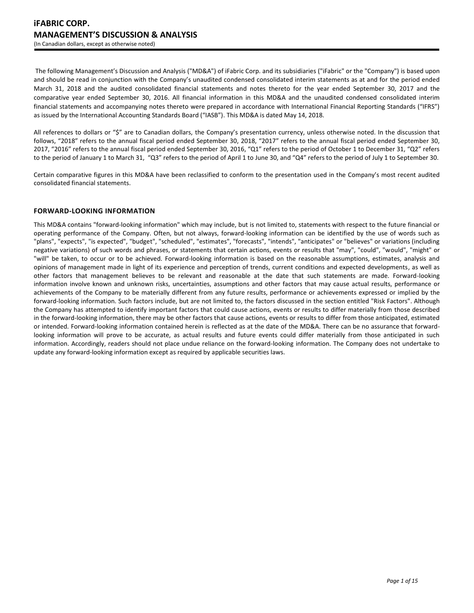The following Management's Discussion and Analysis ("MD&A") of iFabric Corp. and its subsidiaries ("iFabric" or the "Company") is based upon and should be read in conjunction with the Company's unaudited condensed consolidated interim statements as at and for the period ended March 31, 2018 and the audited consolidated financial statements and notes thereto for the year ended September 30, 2017 and the comparative year ended September 30, 2016. All financial information in this MD&A and the unaudited condensed consolidated interim financial statements and accompanying notes thereto were prepared in accordance with International Financial Reporting Standards ("IFRS") as issued by the International Accounting Standards Board ("IASB"). This MD&A is dated May 14, 2018.

All references to dollars or "\$" are to Canadian dollars, the Company's presentation currency, unless otherwise noted. In the discussion that follows, "2018" refers to the annual fiscal period ended September 30, 2018, "2017" refers to the annual fiscal period ended September 30, 2017, "2016" refers to the annual fiscal period ended September 30, 2016, "Q1" refers to the period of October 1 to December 31, "Q2" refers to the period of January 1 to March 31, "Q3" refers to the period of April 1 to June 30, and "Q4" refers to the period of July 1 to September 30.

Certain comparative figures in this MD&A have been reclassified to conform to the presentation used in the Company's most recent audited consolidated financial statements.

# **FORWARD-LOOKING INFORMATION**

This MD&A contains "forward-looking information" which may include, but is not limited to, statements with respect to the future financial or operating performance of the Company. Often, but not always, forward-looking information can be identified by the use of words such as "plans", "expects", "is expected", "budget", "scheduled", "estimates", "forecasts", "intends", "anticipates" or "believes" or variations (including negative variations) of such words and phrases, or statements that certain actions, events or results that "may", "could", "would", "might" or "will" be taken, to occur or to be achieved. Forward-looking information is based on the reasonable assumptions, estimates, analysis and opinions of management made in light of its experience and perception of trends, current conditions and expected developments, as well as other factors that management believes to be relevant and reasonable at the date that such statements are made. Forward-looking information involve known and unknown risks, uncertainties, assumptions and other factors that may cause actual results, performance or achievements of the Company to be materially different from any future results, performance or achievements expressed or implied by the forward-looking information. Such factors include, but are not limited to, the factors discussed in the section entitled "Risk Factors". Although the Company has attempted to identify important factors that could cause actions, events or results to differ materially from those described in the forward-looking information, there may be other factors that cause actions, events or results to differ from those anticipated, estimated or intended. Forward-looking information contained herein is reflected as at the date of the MD&A. There can be no assurance that forwardlooking information will prove to be accurate, as actual results and future events could differ materially from those anticipated in such information. Accordingly, readers should not place undue reliance on the forward-looking information. The Company does not undertake to update any forward-looking information except as required by applicable securities laws.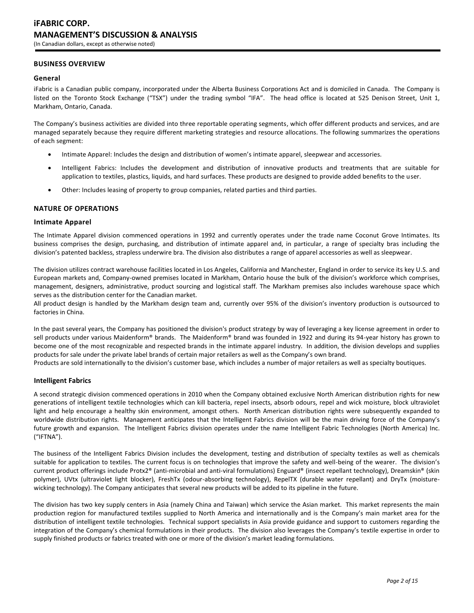# **BUSINESS OVERVIEW**

#### **General**

iFabric is a Canadian public company, incorporated under the Alberta Business Corporations Act and is domiciled in Canada. The Company is listed on the Toronto Stock Exchange ("TSX") under the trading symbol "IFA". The head office is located at 525 Denison Street, Unit 1, Markham, Ontario, Canada.

The Company's business activities are divided into three reportable operating segments, which offer different products and services, and are managed separately because they require different marketing strategies and resource allocations. The following summarizes the operations of each segment:

- Intimate Apparel: Includes the design and distribution of women's intimate apparel, sleepwear and accessories.
- Intelligent Fabrics: Includes the development and distribution of innovative products and treatments that are suitable for application to textiles, plastics, liquids, and hard surfaces. These products are designed to provide added benefits to the user.
- Other: Includes leasing of property to group companies, related parties and third parties.

### **NATURE OF OPERATIONS**

#### **Intimate Apparel**

The Intimate Apparel division commenced operations in 1992 and currently operates under the trade name Coconut Grove Intimates. Its business comprises the design, purchasing, and distribution of intimate apparel and, in particular, a range of specialty bras including the division's patented backless, strapless underwire bra. The division also distributes a range of apparel accessories as well as sleepwear.

The division utilizes contract warehouse facilities located in Los Angeles, California and Manchester, England in order to service its key U.S. and European markets and, Company-owned premises located in Markham, Ontario house the bulk of the division's workforce which comprises, management, designers, administrative, product sourcing and logistical staff. The Markham premises also includes warehouse space which serves as the distribution center for the Canadian market.

All product design is handled by the Markham design team and, currently over 95% of the division's inventory production is outsourced to factories in China.

In the past several years, the Company has positioned the division's product strategy by way of leveraging a key license agreement in order to sell products under various Maidenform® brands. The Maidenform® brand was founded in 1922 and during its 94-year history has grown to become one of the most recognizable and respected brands in the intimate apparel industry. In addition, the division develops and supplies products for sale under the private label brands of certain major retailers as well as the Company's own brand.

Products are sold internationally to the division's customer base, which includes a number of major retailers as well as specialty boutiques.

## **Intelligent Fabrics**

A second strategic division commenced operations in 2010 when the Company obtained exclusive North American distribution rights for new generations of intelligent textile technologies which can kill bacteria, repel insects, absorb odours, repel and wick moisture, block ultraviolet light and help encourage a healthy skin environment, amongst others. North American distribution rights were subsequently expanded to worldwide distribution rights. Management anticipates that the Intelligent Fabrics division will be the main driving force of the Company's future growth and expansion. The Intelligent Fabrics division operates under the name Intelligent Fabric Technologies (North America) Inc. ("IFTNA").

The business of the Intelligent Fabrics Division includes the development, testing and distribution of specialty textiles as well as chemicals suitable for application to textiles. The current focus is on technologies that improve the safety and well-being of the wearer. The division's current product offerings include Protx2® (anti-microbial and anti-viral formulations) Enguard® (insect repellant technology), Dreamskin® (skin polymer), UVtx (ultraviolet light blocker), FreshTx (odour-absorbing technology), RepelTX (durable water repellant) and DryTx (moisturewicking technology). The Company anticipates that several new products will be added to its pipeline in the future.

The division has two key supply centers in Asia (namely China and Taiwan) which service the Asian market. This market represents the main production region for manufactured textiles supplied to North America and internationally and is the Company's main market area for the distribution of intelligent textile technologies. Technical support specialists in Asia provide guidance and support to customers regarding the integration of the Company's chemical formulations in their products. The division also leverages the Company's textile expertise in order to supply finished products or fabrics treated with one or more of the division's market leading formulations.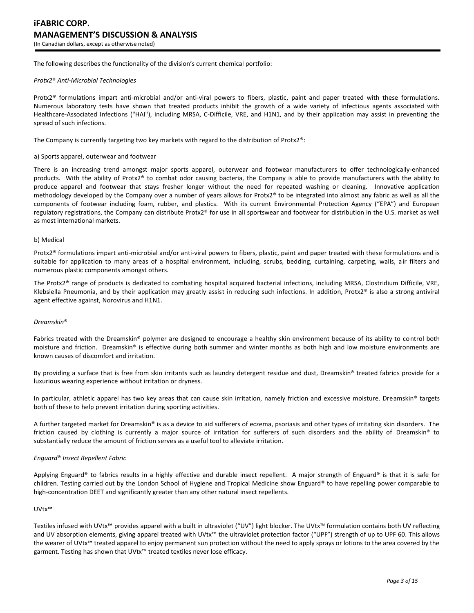The following describes the functionality of the division's current chemical portfolio:

#### *Protx2*® *Anti-Microbial Technologies*

Protx2*®* formulations impart anti-microbial and/or anti-viral powers to fibers, plastic, paint and paper treated with these formulations. Numerous laboratory tests have shown that treated products inhibit the growth of a wide variety of infectious agents associated with Healthcare-Associated Infections ("HAI"), including MRSA, C-Difficile, VRE, and H1N1, and by their application may assist in preventing the spread of such infections.

The Company is currently targeting two key markets with regard to the distribution of Protx2®:

#### a) Sports apparel, outerwear and footwear

There is an increasing trend amongst major sports apparel, outerwear and footwear manufacturers to offer technologically-enhanced products. With the ability of Protx2® to combat odor causing bacteria, the Company is able to provide manufacturers with the ability to produce apparel and footwear that stays fresher longer without the need for repeated washing or cleaning. Innovative application methodology developed by the Company over a number of years allows for Protx2® to be integrated into almost any fabric as well as all the components of footwear including foam, rubber, and plastics. With its current Environmental Protection Agency ("EPA") and European regulatory registrations, the Company can distribute Protx2® for use in all sportswear and footwear for distribution in the U.S. market as well as most international markets.

#### b) Medical

Protx2® formulations impart anti-microbial and/or anti-viral powers to fibers, plastic, paint and paper treated with these formulations and is suitable for application to many areas of a hospital environment, including, scrubs, bedding, curtaining, carpeting, walls, air filters and numerous plastic components amongst others.

The Protx2® range of products is dedicated to combating hospital acquired bacterial infections, including MRSA, Clostridium Difficile, VRE, Klebsiella Pneumonia, and by their application may greatly assist in reducing such infections. In addition, Protx2® is also a strong antiviral agent effective against, Norovirus and H1N1.

#### *Dreamskin*®

Fabrics treated with the Dreamskin® polymer are designed to encourage a healthy skin environment because of its ability to control both moisture and friction. Dreamskin® is effective during both summer and winter months as both high and low moisture environments are known causes of discomfort and irritation.

By providing a surface that is free from skin irritants such as laundry detergent residue and dust, Dreamskin® treated fabrics provide for a luxurious wearing experience without irritation or dryness.

In particular, athletic apparel has two key areas that can cause skin irritation, namely friction and excessive moisture. Dreamskin® targets both of these to help prevent irritation during sporting activities.

A further targeted market for Dreamskin® is as a device to aid sufferers of eczema, psoriasis and other types of irritating skin disorders. The friction caused by clothing is currently a major source of irritation for sufferers of such disorders and the ability of Dreamskin® to substantially reduce the amount of friction serves as a useful tool to alleviate irritation.

### *Enguard*® *Insect Repellent Fabric*

Applying Enguard® to fabrics results in a highly effective and durable insect repellent. A major strength of Enguard® is that it is safe for children. Testing carried out by the London School of Hygiene and Tropical Medicine show Enguard® to have repelling power comparable to high-concentration DEET and significantly greater than any other natural insect repellents.

### UVtx™

Textiles infused with UVtx™ provides apparel with a built in ultraviolet ("UV") light blocker. The UVtx™ formulation contains both UV reflecting and UV absorption elements, giving apparel treated with UVtx™ the ultraviolet protection factor ("UPF") strength of up to UPF 60. This allows the wearer of UVtx™ treated apparel to enjoy permanent sun protection without the need to apply sprays or lotions to the area covered by the garment. Testing has shown that UVtx<sup>™</sup> treated textiles never lose efficacy.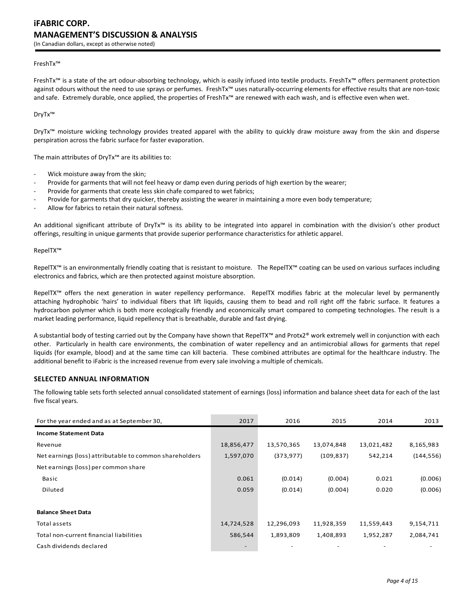#### FreshTx™

FreshTx™ is a state of the art odour-absorbing technology, which is easily infused into textile products. FreshTx™ offers permanent protection against odours without the need to use sprays or perfumes. FreshTx™ uses naturally-occurring elements for effective results that are non-toxic and safe. Extremely durable, once applied, the properties of FreshTx™ are renewed with each wash, and is effective even when wet.

DryTx™

DryTx™ moisture wicking technology provides treated apparel with the ability to quickly draw moisture away from the skin and disperse perspiration across the fabric surface for faster evaporation.

The main attributes of DryTx™ are its abilities to:

- Wick moisture away from the skin;
- Provide for garments that will not feel heavy or damp even during periods of high exertion by the wearer;
- Provide for garments that create less skin chafe compared to wet fabrics;
- Provide for garments that dry quicker, thereby assisting the wearer in maintaining a more even body temperature;
- Allow for fabrics to retain their natural softness.

An additional significant attribute of DryTx™ is its ability to be integrated into apparel in combination with the division's other product offerings, resulting in unique garments that provide superior performance characteristics for athletic apparel.

RepelTX™

RepelTX™ is an environmentally friendly coating that is resistant to moisture. The RepelTX™ coating can be used on various surfaces including electronics and fabrics, which are then protected against moisture absorption.

RepelTX™ offers the next generation in water repellency performance. RepelTX modifies fabric at the molecular level by permanently attaching hydrophobic 'hairs' to individual fibers that lift liquids, causing them to bead and roll right off the fabric surface. It features a hydrocarbon polymer which is both more ecologically friendly and economically smart compared to competing technologies. The result is a market leading performance, liquid repellency that is breathable, durable and fast drying.

A substantial body of testing carried out by the Company have shown that RepelTX™ and Protx2® work extremely well in conjunction with each other. Particularly in health care environments, the combination of water repellency and an antimicrobial allows for garments that repel liquids (for example, blood) and at the same time can kill bacteria. These combined attributes are optimal for the healthcare industry. The additional benefit to iFabric is the increased revenue from every sale involving a multiple of chemicals.

# **SELECTED ANNUAL INFORMATION**

The following table sets forth selected annual consolidated statement of earnings (loss) information and balance sheet data for each of the last five fiscal years.

| For the year ended and as at September 30,              | 2017                     | 2016       | 2015       | 2014       | 2013       |
|---------------------------------------------------------|--------------------------|------------|------------|------------|------------|
| <b>Income Statement Data</b>                            |                          |            |            |            |            |
| Revenue                                                 | 18,856,477               | 13,570,365 | 13,074,848 | 13,021,482 | 8,165,983  |
| Net earnings (loss) attributable to common shareholders | 1,597,070                | (373, 977) | (109, 837) | 542,214    | (144, 556) |
| Net earnings (loss) per common share                    |                          |            |            |            |            |
| Basic                                                   | 0.061                    | (0.014)    | (0.004)    | 0.021      | (0.006)    |
| Diluted                                                 | 0.059                    | (0.014)    | (0.004)    | 0.020      | (0.006)    |
|                                                         |                          |            |            |            |            |
| <b>Balance Sheet Data</b>                               |                          |            |            |            |            |
| Total assets                                            | 14,724,528               | 12,296,093 | 11,928,359 | 11,559,443 | 9,154,711  |
| Total non-current financial liabilities                 | 586,544                  | 1,893,809  | 1,408,893  | 1,952,287  | 2,084,741  |
| Cash dividends declared                                 | $\overline{\phantom{a}}$ |            |            |            |            |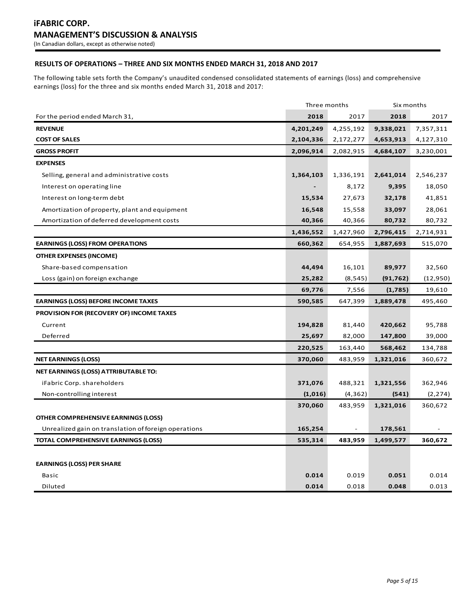# **RESULTS OF OPERATIONS – THREE AND SIX MONTHS ENDED MARCH 31, 2018 AND 2017**

The following table sets forth the Company's unaudited condensed consolidated statements of earnings (loss) and comprehensive earnings (loss) for the three and six months ended March 31, 2018 and 2017:

|                                                      | Three months |           | Six months |           |
|------------------------------------------------------|--------------|-----------|------------|-----------|
| For the period ended March 31,                       | 2018         | 2017      | 2018       | 2017      |
| <b>REVENUE</b>                                       | 4,201,249    | 4,255,192 | 9,338,021  | 7,357,311 |
| <b>COST OF SALES</b>                                 | 2,104,336    | 2,172,277 | 4,653,913  | 4,127,310 |
| <b>GROSS PROFIT</b>                                  | 2,096,914    | 2,082,915 | 4,684,107  | 3,230,001 |
| <b>EXPENSES</b>                                      |              |           |            |           |
| Selling, general and administrative costs            | 1,364,103    | 1,336,191 | 2,641,014  | 2,546,237 |
| Interest on operating line                           |              | 8,172     | 9,395      | 18,050    |
| Interest on long-term debt                           | 15,534       | 27,673    | 32,178     | 41,851    |
| Amortization of property, plant and equipment        | 16,548       | 15,558    | 33,097     | 28,061    |
| Amortization of deferred development costs           | 40,366       | 40,366    | 80,732     | 80,732    |
|                                                      | 1,436,552    | 1,427,960 | 2,796,415  | 2,714,931 |
| <b>EARNINGS (LOSS) FROM OPERATIONS</b>               | 660,362      | 654,955   | 1,887,693  | 515,070   |
| <b>OTHER EXPENSES (INCOME)</b>                       |              |           |            |           |
| Share-based compensation                             | 44,494       | 16,101    | 89,977     | 32,560    |
| Loss (gain) on foreign exchange                      | 25,282       | (8, 545)  | (91, 762)  | (12,950)  |
|                                                      | 69,776       | 7,556     | (1,785)    | 19,610    |
| <b>EARNINGS (LOSS) BEFORE INCOME TAXES</b>           | 590,585      | 647,399   | 1,889,478  | 495,460   |
| PROVISION FOR (RECOVERY OF) INCOME TAXES             |              |           |            |           |
| Current                                              | 194,828      | 81,440    | 420,662    | 95,788    |
| Deferred                                             | 25,697       | 82,000    | 147,800    | 39,000    |
|                                                      | 220,525      | 163,440   | 568,462    | 134,788   |
| <b>NET EARNINGS (LOSS)</b>                           | 370,060      | 483,959   | 1,321,016  | 360,672   |
| NET EARNINGS (LOSS) ATTRIBUTABLE TO:                 |              |           |            |           |
| iFabric Corp. shareholders                           | 371,076      | 488,321   | 1,321,556  | 362,946   |
| Non-controlling interest                             | (1,016)      | (4, 362)  | (541)      | (2, 274)  |
|                                                      | 370,060      | 483,959   | 1,321,016  | 360,672   |
| OTHER COMPREHENSIVE EARNINGS (LOSS)                  |              |           |            |           |
| Unrealized gain on translation of foreign operations | 165,254      |           | 178,561    |           |
| <b>TOTAL COMPREHENSIVE EARNINGS (LOSS)</b>           | 535,314      | 483,959   | 1,499,577  | 360,672   |
|                                                      |              |           |            |           |
| <b>EARNINGS (LOSS) PER SHARE</b>                     |              |           |            |           |
| <b>Basic</b>                                         | 0.014        | 0.019     | 0.051      | 0.014     |
| Diluted                                              | 0.014        | 0.018     | 0.048      | 0.013     |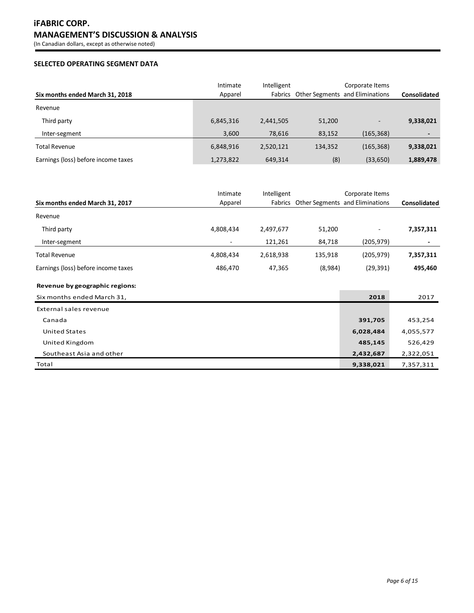# **SELECTED OPERATING SEGMENT DATA**

| Six months ended March 31, 2018     | Intimate<br>Apparel | Intelligent |         | Corporate Items<br>Fabrics Other Segments and Eliminations | Consolidated             |
|-------------------------------------|---------------------|-------------|---------|------------------------------------------------------------|--------------------------|
| Revenue                             |                     |             |         |                                                            |                          |
| Third party                         | 6,845,316           | 2,441,505   | 51,200  | ٠                                                          | 9,338,021                |
| Inter-segment                       | 3,600               | 78,616      | 83,152  | (165, 368)                                                 | $\overline{\phantom{a}}$ |
| <b>Total Revenue</b>                | 6,848,916           | 2,520,121   | 134,352 | (165, 368)                                                 | 9,338,021                |
| Earnings (loss) before income taxes | 1,273,822           | 649.314     | (8)     | (33, 650)                                                  | 1,889,478                |

|                                     | Intimate  | Intelligent |         | Corporate Items                         |              |
|-------------------------------------|-----------|-------------|---------|-----------------------------------------|--------------|
| Six months ended March 31, 2017     | Apparel   |             |         | Fabrics Other Segments and Eliminations | Consolidated |
| Revenue                             |           |             |         |                                         |              |
| Third party                         | 4,808,434 | 2,497,677   | 51,200  |                                         | 7,357,311    |
| Inter-segment                       |           | 121,261     | 84,718  | (205,979)                               |              |
| <b>Total Revenue</b>                | 4,808,434 | 2,618,938   | 135,918 | (205, 979)                              | 7,357,311    |
| Earnings (loss) before income taxes | 486,470   | 47,365      | (8,984) | (29, 391)                               | 495,460      |
| Revenue by geographic regions:      |           |             |         |                                         |              |
| Six months ended March 31,          |           |             |         | 2018                                    | 2017         |
| External sales revenue              |           |             |         |                                         |              |
| Canada                              |           |             |         | 391,705                                 | 453,254      |
| <b>United States</b>                |           |             |         | 6,028,484                               | 4,055,577    |
| United Kingdom                      |           |             |         | 485,145                                 | 526,429      |
| Southeast Asia and other            |           |             |         | 2,432,687                               | 2,322,051    |
| Total                               |           |             |         | 9,338,021                               | 7,357,311    |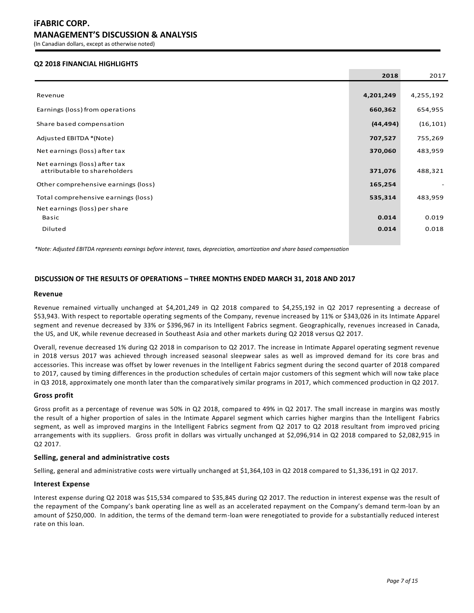# **Q2 2018 FINANCIAL HIGHLIGHTS**

|                                                               | 2018      | 2017      |
|---------------------------------------------------------------|-----------|-----------|
|                                                               |           |           |
| Revenue                                                       | 4,201,249 | 4,255,192 |
| Earnings (loss) from operations                               | 660,362   | 654,955   |
| Share based compensation                                      | (44, 494) | (16, 101) |
| Adjusted EBITDA *(Note)                                       | 707,527   | 755,269   |
| Net earnings (loss) after tax                                 | 370,060   | 483,959   |
| Net earnings (loss) after tax<br>attributable to shareholders | 371,076   | 488,321   |
| Other comprehensive earnings (loss)                           | 165,254   |           |
| Total comprehensive earnings (loss)                           | 535,314   | 483,959   |
| Net earnings (loss) per share                                 |           |           |
| <b>Basic</b>                                                  | 0.014     | 0.019     |
| Diluted                                                       | 0.014     | 0.018     |

*\*Note: Adjusted EBITDA represents earnings before interest, taxes, depreciation, amortization and share based compensation*

# **DISCUSSION OF THE RESULTS OF OPERATIONS – THREE MONTHS ENDED MARCH 31, 2018 AND 2017**

#### **Revenue**

Revenue remained virtually unchanged at \$4,201,249 in Q2 2018 compared to \$4,255,192 in Q2 2017 representing a decrease of \$53,943. With respect to reportable operating segments of the Company, revenue increased by 11% or \$343,026 in its Intimate Apparel segment and revenue decreased by 33% or \$396,967 in its Intelligent Fabrics segment. Geographically, revenues increased in Canada, the US, and UK, while revenue decreased in Southeast Asia and other markets during Q2 2018 versus Q2 2017.

Overall, revenue decreased 1% during Q2 2018 in comparison to Q2 2017. The increase in Intimate Apparel operating segment revenue in 2018 versus 2017 was achieved through increased seasonal sleepwear sales as well as improved demand for its core bras and accessories. This increase was offset by lower revenues in the Intelligent Fabrics segment during the second quarter of 2018 compared to 2017, caused by timing differences in the production schedules of certain major customers of this segment which will now take place in Q3 2018, approximately one month later than the comparatively similar programs in 2017, which commenced production in Q2 2017.

### **Gross profit**

Gross profit as a percentage of revenue was 50% in Q2 2018, compared to 49% in Q2 2017. The small increase in margins was mostly the result of a higher proportion of sales in the Intimate Apparel segment which carries higher margins than the Intelligent Fabrics segment, as well as improved margins in the Intelligent Fabrics segment from Q2 2017 to Q2 2018 resultant from impro ved pricing arrangements with its suppliers. Gross profit in dollars was virtually unchanged at \$2,096,914 in Q2 2018 compared to \$2,082,915 in Q2 2017.

### **Selling, general and administrative costs**

Selling, general and administrative costs were virtually unchanged at \$1,364,103 in Q2 2018 compared to \$1,336,191 in Q2 2017.

## **Interest Expense**

Interest expense during Q2 2018 was \$15,534 compared to \$35,845 during Q2 2017. The reduction in interest expense was the result of the repayment of the Company's bank operating line as well as an accelerated repayment on the Company's demand term-loan by an amount of \$250,000. In addition, the terms of the demand term-loan were renegotiated to provide for a substantially reduced interest rate on this loan.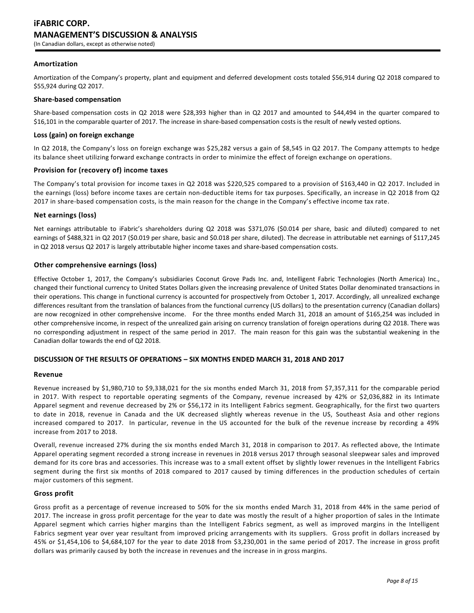## **Amortization**

Amortization of the Company's property, plant and equipment and deferred development costs totaled \$56,914 during Q2 2018 compared to \$55,924 during Q2 2017.

### **Share-based compensation**

Share-based compensation costs in Q2 2018 were \$28,393 higher than in Q2 2017 and amounted to \$44,494 in the quarter compared to \$16,101 in the comparable quarter of 2017. The increase in share-based compensation costs is the result of newly vested options.

#### **Loss (gain) on foreign exchange**

In Q2 2018, the Company's loss on foreign exchange was \$25,282 versus a gain of \$8,545 in Q2 2017. The Company attempts to hedge its balance sheet utilizing forward exchange contracts in order to minimize the effect of foreign exchange on operations.

## **Provision for (recovery of) income taxes**

The Company's total provision for income taxes in Q2 2018 was \$220,525 compared to a provision of \$163,440 in Q2 2017. Included in the earnings (loss) before income taxes are certain non-deductible items for tax purposes. Specifically, an increase in Q2 2018 from Q2 2017 in share-based compensation costs, is the main reason for the change in the Company's effective income tax rate.

### **Net earnings (loss)**

Net earnings attributable to iFabric's shareholders during Q2 2018 was \$371,076 (\$0.014 per share, basic and diluted) compared to net earnings of \$488,321 in Q2 2017 (\$0.019 per share, basic and \$0.018 per share, diluted). The decrease in attributable net earnings of \$117,245 in Q2 2018 versus Q2 2017 is largely attributable higher income taxes and share-based compensation costs.

### **Other comprehensive earnings (loss)**

Effective October 1, 2017, the Company's subsidiaries Coconut Grove Pads Inc. and, Intelligent Fabric Technologies (North America) Inc., changed their functional currency to United States Dollars given the increasing prevalence of United States Dollar denominated transactions in their operations. This change in functional currency is accounted for prospectively from October 1, 2017. Accordingly, all unrealized exchange differences resultant from the translation of balances from the functional currency (US dollars) to the presentation currency (Canadian dollars) are now recognized in other comprehensive income. For the three months ended March 31, 2018 an amount of \$165,254 was included in other comprehensive income, in respect of the unrealized gain arising on currency translation of foreign operations during Q2 2018. There was no corresponding adjustment in respect of the same period in 2017. The main reason for this gain was the substantial weakening in the Canadian dollar towards the end of Q2 2018.

### **DISCUSSION OF THE RESULTS OF OPERATIONS – SIX MONTHS ENDED MARCH 31, 2018 AND 2017**

#### **Revenue**

Revenue increased by \$1,980,710 to \$9,338,021 for the six months ended March 31, 2018 from \$7,357,311 for the comparable period in 2017. With respect to reportable operating segments of the Company, revenue increased by 42% or \$2,036,882 in its Intimate Apparel segment and revenue decreased by 2% or \$56,172 in its Intelligent Fabrics segment. Geographically, for the first two quarters to date in 2018, revenue in Canada and the UK decreased slightly whereas revenue in the US, Southeast Asia and other regions increased compared to 2017. In particular, revenue in the US accounted for the bulk of the revenue increase by recording a 49% increase from 2017 to 2018.

Overall, revenue increased 27% during the six months ended March 31, 2018 in comparison to 2017. As reflected above, the Intimate Apparel operating segment recorded a strong increase in revenues in 2018 versus 2017 through seasonal sleepwear sales and improved demand for its core bras and accessories. This increase was to a small extent offset by slightly lower revenues in the Intelligent Fabrics segment during the first six months of 2018 compared to 2017 caused by timing differences in the production schedules of certain major customers of this segment.

#### **Gross profit**

Gross profit as a percentage of revenue increased to 50% for the six months ended March 31, 2018 from 44% in the same period of 2017. The increase in gross profit percentage for the year to date was mostly the result of a higher proportion of sales in the Intimate Apparel segment which carries higher margins than the Intelligent Fabrics segment, as well as improved margins in the Intelligent Fabrics segment year over year resultant from improved pricing arrangements with its suppliers. Gross profit in dollars increased by 45% or \$1,454,106 to \$4,684,107 for the year to date 2018 from \$3,230,001 in the same period of 2017. The increase in gross profit dollars was primarily caused by both the increase in revenues and the increase in in gross margins.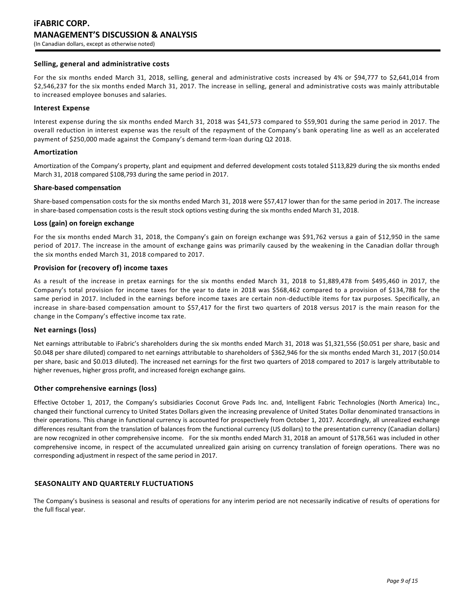# **iFABRIC CORP. MANAGEMENT'S DISCUSSION & ANALYSIS** (In Canadian dollars, except as otherwise noted)

## **Selling, general and administrative costs**

For the six months ended March 31, 2018, selling, general and administrative costs increased by 4% or \$94,777 to \$2,641,014 from \$2,546,237 for the six months ended March 31, 2017. The increase in selling, general and administrative costs was mainly attributable to increased employee bonuses and salaries.

### **Interest Expense**

Interest expense during the six months ended March 31, 2018 was \$41,573 compared to \$59,901 during the same period in 2017. The overall reduction in interest expense was the result of the repayment of the Company's bank operating line as well as an accelerated payment of \$250,000 made against the Company's demand term-loan during Q2 2018.

## **Amortization**

Amortization of the Company's property, plant and equipment and deferred development costs totaled \$113,829 during the six months ended March 31, 2018 compared \$108,793 during the same period in 2017.

## **Share-based compensation**

Share-based compensation costs for the six months ended March 31, 2018 were \$57,417 lower than for the same period in 2017. The increase in share-based compensation costs is the result stock options vesting during the six months ended March 31, 2018.

## **Loss (gain) on foreign exchange**

For the six months ended March 31, 2018, the Company's gain on foreign exchange was \$91,762 versus a gain of \$12,950 in the same period of 2017. The increase in the amount of exchange gains was primarily caused by the weakening in the Canadian dollar through the six months ended March 31, 2018 compared to 2017.

## **Provision for (recovery of) income taxes**

As a result of the increase in pretax earnings for the six months ended March 31, 2018 to \$1,889,478 from \$495,460 in 2017, the Company's total provision for income taxes for the year to date in 2018 was \$568,462 compared to a provision of \$134,788 for the same period in 2017. Included in the earnings before income taxes are certain non-deductible items for tax purposes. Specifically, an increase in share-based compensation amount to \$57,417 for the first two quarters of 2018 versus 2017 is the main reason for the change in the Company's effective income tax rate.

### **Net earnings (loss)**

Net earnings attributable to iFabric's shareholders during the six months ended March 31, 2018 was \$1,321,556 (\$0.051 per share, basic and \$0.048 per share diluted) compared to net earnings attributable to shareholders of \$362,946 for the six months ended March 31, 2017 (\$0.014 per share, basic and \$0.013 diluted). The increased net earnings for the first two quarters of 2018 compared to 2017 is largely attributable to higher revenues, higher gross profit, and increased foreign exchange gains.

# **Other comprehensive earnings (loss)**

Effective October 1, 2017, the Company's subsidiaries Coconut Grove Pads Inc. and, Intelligent Fabric Technologies (North America) Inc., changed their functional currency to United States Dollars given the increasing prevalence of United States Dollar denominated transactions in their operations. This change in functional currency is accounted for prospectively from October 1, 2017. Accordingly, all unrealized exchange differences resultant from the translation of balances from the functional currency (US dollars) to the presentation currency (Canadian dollars) are now recognized in other comprehensive income. For the six months ended March 31, 2018 an amount of \$178,561 was included in other comprehensive income, in respect of the accumulated unrealized gain arising on currency translation of foreign operations. There was no corresponding adjustment in respect of the same period in 2017.

# **SEASONALITY AND QUARTERLY FLUCTUATIONS**

The Company's business is seasonal and results of operations for any interim period are not necessarily indicative of results of operations for the full fiscal year.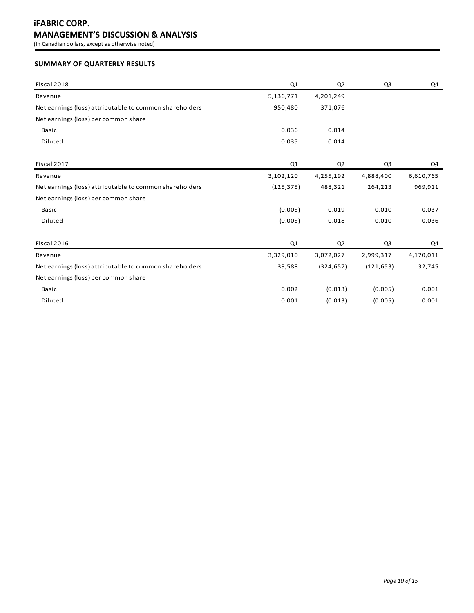# **iFABRIC CORP. MANAGEMENT'S DISCUSSION & ANALYSIS**

(In Canadian dollars, except as otherwise noted)

# **SUMMARY OF QUARTERLY RESULTS**

| Fiscal 2018                                             | Q1         | Q <sub>2</sub> | Q <sub>3</sub> | Q4        |
|---------------------------------------------------------|------------|----------------|----------------|-----------|
| Revenue                                                 | 5,136,771  | 4,201,249      |                |           |
| Net earnings (loss) attributable to common shareholders | 950,480    | 371,076        |                |           |
| Net earnings (loss) per common share                    |            |                |                |           |
| <b>Basic</b>                                            | 0.036      | 0.014          |                |           |
| Diluted                                                 | 0.035      | 0.014          |                |           |
| Fiscal 2017                                             | Q1         | Q <sub>2</sub> | Q <sub>3</sub> | Q4        |
| Revenue                                                 | 3,102,120  | 4,255,192      | 4,888,400      | 6,610,765 |
| Net earnings (loss) attributable to common shareholders | (125, 375) | 488,321        | 264,213        | 969,911   |
| Net earnings (loss) per common share                    |            |                |                |           |
| <b>Basic</b>                                            | (0.005)    | 0.019          | 0.010          | 0.037     |
| Diluted                                                 | (0.005)    | 0.018          | 0.010          | 0.036     |
| Fiscal 2016                                             | Q1         | Q <sub>2</sub> | Q <sub>3</sub> | Q4        |
| Revenue                                                 | 3,329,010  | 3,072,027      | 2,999,317      | 4,170,011 |
| Net earnings (loss) attributable to common shareholders | 39,588     | (324, 657)     | (121, 653)     | 32,745    |
| Net earnings (loss) per common share                    |            |                |                |           |
| Basic                                                   | 0.002      | (0.013)        | (0.005)        | 0.001     |
| Diluted                                                 | 0.001      | (0.013)        | (0.005)        | 0.001     |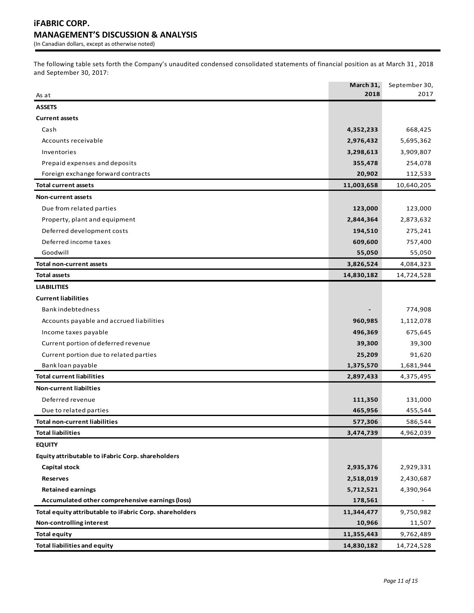The following table sets forth the Company's unaudited condensed consolidated statements of financial position as at March 31 , 2018 and September 30, 2017:

| As at                                                   | March 31,<br>2018 | September 30,<br>2017 |
|---------------------------------------------------------|-------------------|-----------------------|
| <b>ASSETS</b>                                           |                   |                       |
| <b>Current assets</b>                                   |                   |                       |
| Cash                                                    | 4,352,233         | 668,425               |
| Accounts receivable                                     | 2,976,432         | 5,695,362             |
| Inventories                                             | 3,298,613         | 3,909,807             |
| Prepaid expenses and deposits                           | 355,478           | 254,078               |
| Foreign exchange forward contracts                      | 20,902            | 112,533               |
| <b>Total current assets</b>                             | 11,003,658        | 10,640,205            |
| <b>Non-current assets</b>                               |                   |                       |
| Due from related parties                                | 123,000           | 123,000               |
| Property, plant and equipment                           | 2,844,364         | 2,873,632             |
| Deferred development costs                              | 194,510           | 275,241               |
| Deferred income taxes                                   | 609,600           | 757,400               |
| Goodwill                                                | 55,050            | 55,050                |
| <b>Total non-current assets</b>                         | 3,826,524         | 4,084,323             |
| Total assets                                            | 14,830,182        | 14,724,528            |
| <b>LIABILITIES</b>                                      |                   |                       |
| <b>Current liabilities</b>                              |                   |                       |
| <b>Bankindebtedness</b>                                 |                   | 774,908               |
| Accounts payable and accrued liabilities                | 960,985           | 1,112,078             |
| Income taxes payable                                    | 496,369           | 675,645               |
| Current portion of deferred revenue                     | 39,300            | 39,300                |
| Current portion due to related parties                  | 25,209            | 91,620                |
| Bank loan payable                                       | 1,375,570         | 1,681,944             |
| <b>Total current liabilities</b>                        | 2,897,433         | 4,375,495             |
| <b>Non-current liabilties</b>                           |                   |                       |
| Deferred revenue                                        | 111,350           | 131,000               |
| Due to related parties                                  | 465,956           | 455,544               |
| <b>Total non-current liabilities</b>                    | 577,306           | 586,544               |
| <b>Total liabilities</b>                                | 3,474,739         | 4,962,039             |
| <b>EQUITY</b>                                           |                   |                       |
| Equity attributable to iFabric Corp. shareholders       |                   |                       |
| Capital stock                                           | 2,935,376         | 2,929,331             |
| <b>Reserves</b>                                         | 2,518,019         | 2,430,687             |
| <b>Retained earnings</b>                                | 5,712,521         | 4,390,964             |
| Accumulated other comprehensive earnings (loss)         | 178,561           |                       |
| Total equity attributable to iFabric Corp. shareholders | 11,344,477        | 9,750,982             |
| Non-controlling interest                                | 10,966            | 11,507                |
| <b>Total equity</b>                                     | 11,355,443        | 9,762,489             |
| <b>Total liabilities and equity</b>                     | 14,830,182        | 14,724,528            |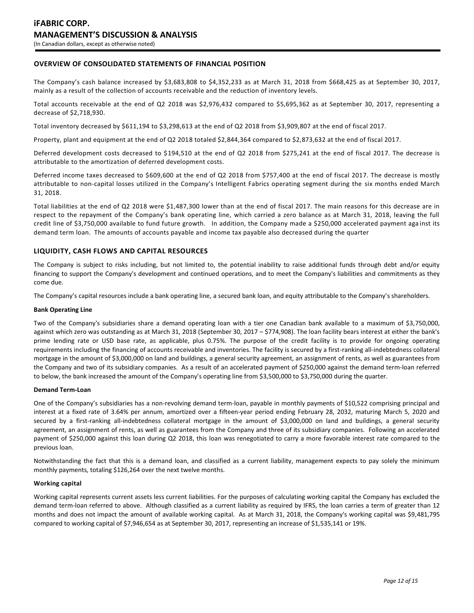# **OVERVIEW OF CONSOLIDATED STATEMENTS OF FINANCIAL POSITION**

The Company's cash balance increased by \$3,683,808 to \$4,352,233 as at March 31, 2018 from \$668,425 as at September 30, 2017, mainly as a result of the collection of accounts receivable and the reduction of inventory levels.

Total accounts receivable at the end of Q2 2018 was \$2,976,432 compared to \$5,695,362 as at September 30, 2017, representing a decrease of \$2,718,930.

Total inventory decreased by \$611,194 to \$3,298,613 at the end of Q2 2018 from \$3,909,807 at the end of fiscal 2017.

Property, plant and equipment at the end of Q2 2018 totaled \$2,844,364 compared to \$2,873,632 at the end of fiscal 2017.

Deferred development costs decreased to \$194,510 at the end of Q2 2018 from \$275,241 at the end of fiscal 2017. The decrease is attributable to the amortization of deferred development costs.

Deferred income taxes decreased to \$609,600 at the end of Q2 2018 from \$757,400 at the end of fiscal 2017. The decrease is mostly attributable to non-capital losses utilized in the Company's Intelligent Fabrics operating segment during the six months ended March 31, 2018.

Total liabilities at the end of Q2 2018 were \$1,487,300 lower than at the end of fiscal 2017. The main reasons for this decrease are in respect to the repayment of the Company's bank operating line, which carried a zero balance as at March 31, 2018, leaving the full credit line of \$3,750,000 available to fund future growth. In addition, the Company made a \$250,000 accelerated payment aga inst its demand term loan. The amounts of accounts payable and income tax payable also decreased during the quarter

## **LIQUIDITY, CASH FLOWS AND CAPITAL RESOURCES**

The Company is subject to risks including, but not limited to, the potential inability to raise additional funds through debt and/or equity financing to support the Company's development and continued operations, and to meet the Company's liabilities and commitments as they come due.

The Company's capital resources include a bank operating line, a secured bank loan, and equity attributable to the Company's shareholders.

#### **Bank Operating Line**

Two of the Company's subsidiaries share a demand operating loan with a tier one Canadian bank available to a maximum of \$3,750,000, against which zero was outstanding as at March 31, 2018 (September 30, 2017 – \$774,908). The loan facility bears interest at either the bank's prime lending rate or USD base rate, as applicable, plus 0.75%. The purpose of the credit facility is to provide for ongoing operating requirements including the financing of accounts receivable and inventories. The facility is secured by a first-ranking all-indebtedness collateral mortgage in the amount of \$3,000,000 on land and buildings, a general security agreement, an assignment of rents, as well as guarantees from the Company and two of its subsidiary companies. As a result of an accelerated payment of \$250,000 against the demand term-loan referred to below, the bank increased the amount of the Company's operating line from \$3,500,000 to \$3,750,000 during the quarter.

### **Demand Term-Loan**

One of the Company's subsidiaries has a non-revolving demand term-loan, payable in monthly payments of \$10,522 comprising principal and interest at a fixed rate of 3.64% per annum, amortized over a fifteen-year period ending February 28, 2032, maturing March 5, 2020 and secured by a first-ranking all-indebtedness collateral mortgage in the amount of \$3,000,000 on land and buildings, a general security agreement, an assignment of rents, as well as guarantees from the Company and three of its subsidiary companies. Following an accelerated payment of \$250,000 against this loan during Q2 2018, this loan was renegotiated to carry a more favorable interest rate compared to the previous loan.

Notwithstanding the fact that this is a demand loan, and classified as a current liability, management expects to pay solely the minimum monthly payments, totaling \$126,264 over the next twelve months.

### **Working capital**

Working capital represents current assets less current liabilities. For the purposes of calculating working capital the Company has excluded the demand term-loan referred to above. Although classified as a current liability as required by IFRS, the loan carries a term of greater than 12 months and does not impact the amount of available working capital. As at March 31, 2018, the Company's working capital was \$9,481,795 compared to working capital of \$7,946,654 as at September 30, 2017, representing an increase of \$1,535,141 or 19%.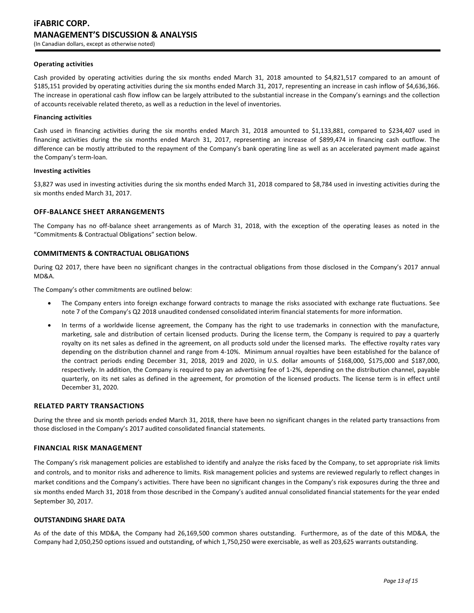#### **Operating activities**

Cash provided by operating activities during the six months ended March 31, 2018 amounted to \$4,821,517 compared to an amount of \$185,151 provided by operating activities during the six months ended March 31, 2017, representing an increase in cash inflow of \$4,636,366. The increase in operational cash flow inflow can be largely attributed to the substantial increase in the Company's earnings and the collection of accounts receivable related thereto, as well as a reduction in the level of inventories.

#### **Financing activities**

Cash used in financing activities during the six months ended March 31, 2018 amounted to \$1,133,881, compared to \$234,407 used in financing activities during the six months ended March 31, 2017, representing an increase of \$899,474 in financing cash outflow. The difference can be mostly attributed to the repayment of the Company's bank operating line as well as an accelerated payment made against the Company's term-loan.

#### **Investing activities**

\$3,827 was used in investing activities during the six months ended March 31, 2018 compared to \$8,784 used in investing activities during the six months ended March 31, 2017.

### **OFF-BALANCE SHEET ARRANGEMENTS**

The Company has no off-balance sheet arrangements as of March 31, 2018, with the exception of the operating leases as noted in the "Commitments & Contractual Obligations" section below.

## **COMMITMENTS & CONTRACTUAL OBLIGATIONS**

During Q2 2017, there have been no significant changes in the contractual obligations from those disclosed in the Company's 2017 annual MD&A.

The Company's other commitments are outlined below:

- The Company enters into foreign exchange forward contracts to manage the risks associated with exchange rate fluctuations. See note 7 of the Company's Q2 2018 unaudited condensed consolidated interim financial statements for more information.
- In terms of a worldwide license agreement, the Company has the right to use trademarks in connection with the manufacture, marketing, sale and distribution of certain licensed products. During the license term, the Company is required to pay a quarterly royalty on its net sales as defined in the agreement, on all products sold under the licensed marks. The effective royalty rates vary depending on the distribution channel and range from 4-10%. Minimum annual royalties have been established for the balance of the contract periods ending December 31, 2018, 2019 and 2020, in U.S. dollar amounts of \$168,000, \$175,000 and \$187,000, respectively. In addition, the Company is required to pay an advertising fee of 1-2%, depending on the distribution channel, payable quarterly, on its net sales as defined in the agreement, for promotion of the licensed products. The license term is in effect until December 31, 2020.

#### **RELATED PARTY TRANSACTIONS**

During the three and six month periods ended March 31, 2018, there have been no significant changes in the related party transactions from those disclosed in the Company's 2017 audited consolidated financial statements.

## **FINANCIAL RISK MANAGEMENT**

The Company's risk management policies are established to identify and analyze the risks faced by the Company, to set appropriate risk limits and controls, and to monitor risks and adherence to limits. Risk management policies and systems are reviewed regularly to reflect changes in market conditions and the Company's activities. There have been no significant changes in the Company's risk exposures during the three and six months ended March 31, 2018 from those described in the Company's audited annual consolidated financial statements for the year ended September 30, 2017.

### **OUTSTANDING SHARE DATA**

As of the date of this MD&A, the Company had 26,169,500 common shares outstanding. Furthermore, as of the date of this MD&A, the Company had 2,050,250 options issued and outstanding, of which 1,750,250 were exercisable, as well as 203,625 warrants outstanding.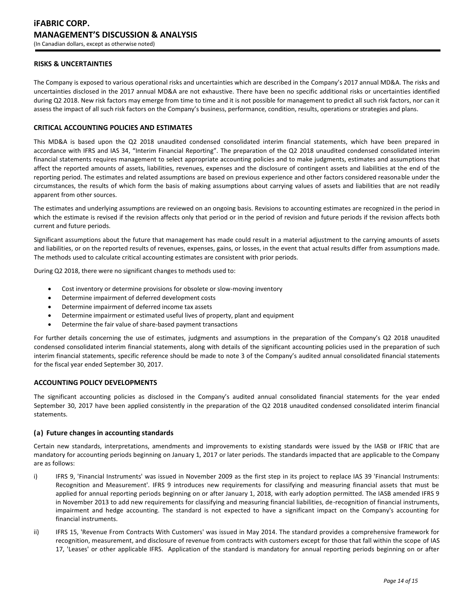# **RISKS & UNCERTAINTIES**

The Company is exposed to various operational risks and uncertainties which are described in the Company's 2017 annual MD&A. The risks and uncertainties disclosed in the 2017 annual MD&A are not exhaustive. There have been no specific additional risks or uncertainties identified during Q2 2018. New risk factors may emerge from time to time and it is not possible for management to predict all such risk factors, nor can it assess the impact of all such risk factors on the Company's business, performance, condition, results, operations or strategies and plans.

# **CRITICAL ACCOUNTING POLICIES AND ESTIMATES**

This MD&A is based upon the Q2 2018 unaudited condensed consolidated interim financial statements, which have been prepared in accordance with IFRS and IAS 34, "Interim Financial Reporting". The preparation of the Q2 2018 unaudited condensed consolidated interim financial statements requires management to select appropriate accounting policies and to make judgments, estimates and assumptions that affect the reported amounts of assets, liabilities, revenues, expenses and the disclosure of contingent assets and liabilities at the end of the reporting period. The estimates and related assumptions are based on previous experience and other factors considered reasonable under the circumstances, the results of which form the basis of making assumptions about carrying values of assets and liabilities that are not readily apparent from other sources.

The estimates and underlying assumptions are reviewed on an ongoing basis. Revisions to accounting estimates are recognized in the period in which the estimate is revised if the revision affects only that period or in the period of revision and future periods if the revision affects both current and future periods.

Significant assumptions about the future that management has made could result in a material adjustment to the carrying amounts of assets and liabilities, or on the reported results of revenues, expenses, gains, or losses, in the event that actual results differ from assumptions made. The methods used to calculate critical accounting estimates are consistent with prior periods.

During Q2 2018, there were no significant changes to methods used to:

- Cost inventory or determine provisions for obsolete or slow-moving inventory
- Determine impairment of deferred development costs
- Determine impairment of deferred income tax assets
- Determine impairment or estimated useful lives of property, plant and equipment
- Determine the fair value of share-based payment transactions

For further details concerning the use of estimates, judgments and assumptions in the preparation of the Company's Q2 2018 unaudited condensed consolidated interim financial statements, along with details of the significant accounting policies used in the preparation of such interim financial statements, specific reference should be made to note 3 of the Company's audited annual consolidated financial statements for the fiscal year ended September 30, 2017.

## **ACCOUNTING POLICY DEVELOPMENTS**

The significant accounting policies as disclosed in the Company's audited annual consolidated financial statements for the year ended September 30, 2017 have been applied consistently in the preparation of the Q2 2018 unaudited condensed consolidated interim financial statements.

#### **(a) Future changes in accounting standards**

Certain new standards, interpretations, amendments and improvements to existing standards were issued by the IASB or IFRIC that are mandatory for accounting periods beginning on January 1, 2017 or later periods. The standards impacted that are applicable to the Company are as follows:

- i) IFRS 9, 'Financial Instruments' was issued in November 2009 as the first step in its project to replace IAS 39 'Financial Instruments: Recognition and Measurement'. IFRS 9 introduces new requirements for classifying and measuring financial assets that must be applied for annual reporting periods beginning on or after January 1, 2018, with early adoption permitted. The IASB amended IFRS 9 in November 2013 to add new requirements for classifying and measuring financial liabilities, de-recognition of financial instruments, impairment and hedge accounting. The standard is not expected to have a significant impact on the Company's accounting for financial instruments.
- ii) IFRS 15, 'Revenue From Contracts With Customers' was issued in May 2014. The standard provides a comprehensive framework for recognition, measurement, and disclosure of revenue from contracts with customers except for those that fall within the scope of IAS 17, 'Leases' or other applicable IFRS. Application of the standard is mandatory for annual reporting periods beginning on or after